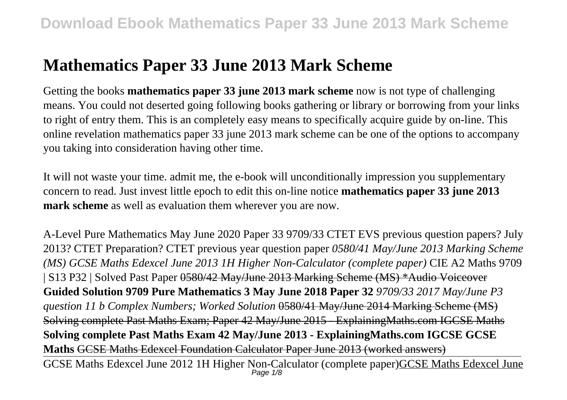# **Mathematics Paper 33 June 2013 Mark Scheme**

Getting the books **mathematics paper 33 june 2013 mark scheme** now is not type of challenging means. You could not deserted going following books gathering or library or borrowing from your links to right of entry them. This is an completely easy means to specifically acquire guide by on-line. This online revelation mathematics paper 33 june 2013 mark scheme can be one of the options to accompany you taking into consideration having other time.

It will not waste your time. admit me, the e-book will unconditionally impression you supplementary concern to read. Just invest little epoch to edit this on-line notice **mathematics paper 33 june 2013 mark scheme** as well as evaluation them wherever you are now.

A-Level Pure Mathematics May June 2020 Paper 33 9709/33 CTET EVS previous question papers? July 2013? CTET Preparation? CTET previous year question paper *0580/41 May/June 2013 Marking Scheme (MS) GCSE Maths Edexcel June 2013 1H Higher Non-Calculator (complete paper)* CIE A2 Maths 9709 | S13 P32 | Solved Past Paper 0580/42 May/June 2013 Marking Scheme (MS) \*Audio Voiceover **Guided Solution 9709 Pure Mathematics 3 May June 2018 Paper 32** *9709/33 2017 May/June P3 question 11 b Complex Numbers; Worked Solution* 0580/41 May/June 2014 Marking Scheme (MS) Solving complete Past Maths Exam; Paper 42 May/June 2015 - ExplainingMaths.com IGCSE Maths **Solving complete Past Maths Exam 42 May/June 2013 - ExplainingMaths.com IGCSE GCSE Maths** GCSE Maths Edexcel Foundation Calculator Paper June 2013 (worked answers)

GCSE Maths Edexcel June 2012 1H Higher Non-Calculator (complete paper)GCSE Maths Edexcel June Page  $1/8$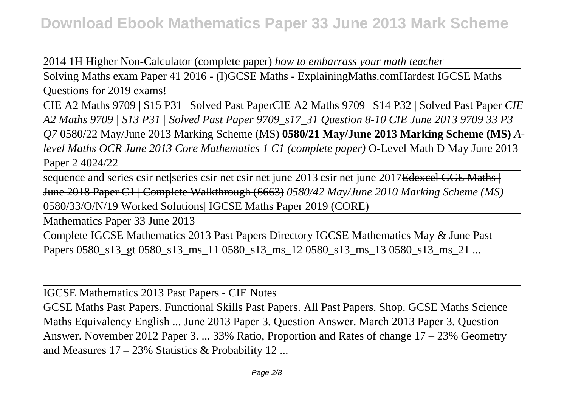2014 1H Higher Non-Calculator (complete paper) *how to embarrass your math teacher*

Solving Maths exam Paper 41 2016 - (I)GCSE Maths - ExplainingMaths.comHardest IGCSE Maths Questions for 2019 exams!

CIE A2 Maths 9709 | S15 P31 | Solved Past PaperCIE A2 Maths 9709 | S14 P32 | Solved Past Paper *CIE A2 Maths 9709 | S13 P31 | Solved Past Paper 9709\_s17\_31 Question 8-10 CIE June 2013 9709 33 P3 Q7* 0580/22 May/June 2013 Marking Scheme (MS) **0580/21 May/June 2013 Marking Scheme (MS)** *Alevel Maths OCR June 2013 Core Mathematics 1 C1 (complete paper)* O-Level Math D May June 2013 Paper 2 4024/22

sequence and series csir net|series csir net|csir net june 2013|csir net june 2017Edexcel GCE Maths | June 2018 Paper C1 | Complete Walkthrough (6663) *0580/42 May/June 2010 Marking Scheme (MS)* 0580/33/O/N/19 Worked Solutions| IGCSE Maths Paper 2019 (CORE)

Mathematics Paper 33 June 2013 Complete IGCSE Mathematics 2013 Past Papers Directory IGCSE Mathematics May & June Past Papers 0580\_s13\_gt 0580\_s13\_ms\_11 0580\_s13\_ms\_12 0580\_s13\_ms\_13 0580\_s13\_ms\_21 ...

IGCSE Mathematics 2013 Past Papers - CIE Notes GCSE Maths Past Papers. Functional Skills Past Papers. All Past Papers. Shop. GCSE Maths Science Maths Equivalency English ... June 2013 Paper 3. Question Answer. March 2013 Paper 3. Question Answer. November 2012 Paper 3. ... 33% Ratio, Proportion and Rates of change 17 – 23% Geometry and Measures 17 – 23% Statistics & Probability 12 ...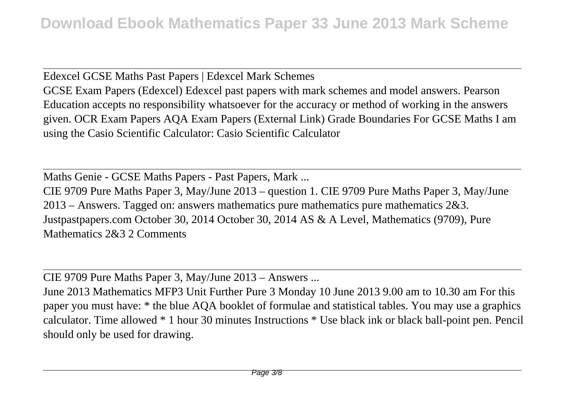Edexcel GCSE Maths Past Papers | Edexcel Mark Schemes GCSE Exam Papers (Edexcel) Edexcel past papers with mark schemes and model answers. Pearson Education accepts no responsibility whatsoever for the accuracy or method of working in the answers given. OCR Exam Papers AQA Exam Papers (External Link) Grade Boundaries For GCSE Maths I am using the Casio Scientific Calculator: Casio Scientific Calculator

Maths Genie - GCSE Maths Papers - Past Papers, Mark ...

CIE 9709 Pure Maths Paper 3, May/June 2013 – question 1. CIE 9709 Pure Maths Paper 3, May/June 2013 – Answers. Tagged on: answers mathematics pure mathematics pure mathematics 2&3. Justpastpapers.com October 30, 2014 October 30, 2014 AS & A Level, Mathematics (9709), Pure Mathematics 2&3 2 Comments

CIE 9709 Pure Maths Paper 3, May/June 2013 – Answers ...

June 2013 Mathematics MFP3 Unit Further Pure 3 Monday 10 June 2013 9.00 am to 10.30 am For this paper you must have: \* the blue AQA booklet of formulae and statistical tables. You may use a graphics calculator. Time allowed \* 1 hour 30 minutes Instructions \* Use black ink or black ball-point pen. Pencil should only be used for drawing.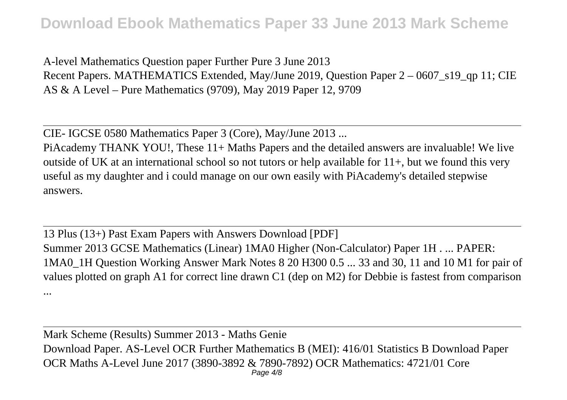A-level Mathematics Question paper Further Pure 3 June 2013 Recent Papers. MATHEMATICS Extended, May/June 2019, Question Paper 2 – 0607 s19 qp 11; CIE AS & A Level – Pure Mathematics (9709), May 2019 Paper 12, 9709

CIE- IGCSE 0580 Mathematics Paper 3 (Core), May/June 2013 ...

PiAcademy THANK YOU!, These 11+ Maths Papers and the detailed answers are invaluable! We live outside of UK at an international school so not tutors or help available for  $11+$ , but we found this very useful as my daughter and i could manage on our own easily with PiAcademy's detailed stepwise answers.

13 Plus (13+) Past Exam Papers with Answers Download [PDF] Summer 2013 GCSE Mathematics (Linear) 1MA0 Higher (Non-Calculator) Paper 1H . ... PAPER: 1MA0\_1H Question Working Answer Mark Notes 8 20 H300 0.5 ... 33 and 30, 11 and 10 M1 for pair of values plotted on graph A1 for correct line drawn C1 (dep on M2) for Debbie is fastest from comparison ...

Mark Scheme (Results) Summer 2013 - Maths Genie Download Paper. AS-Level OCR Further Mathematics B (MEI): 416/01 Statistics B Download Paper OCR Maths A-Level June 2017 (3890-3892 & 7890-7892) OCR Mathematics: 4721/01 Core Page 4/8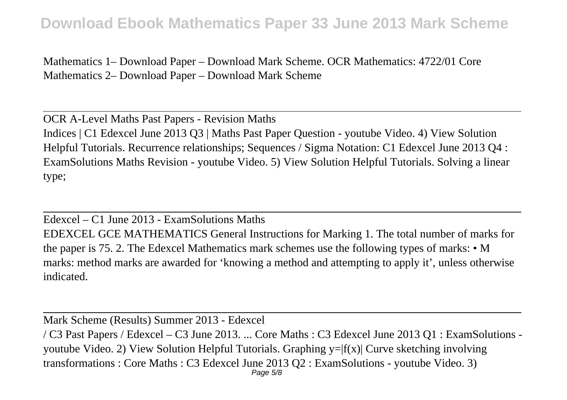Mathematics 1– Download Paper – Download Mark Scheme. OCR Mathematics: 4722/01 Core Mathematics 2– Download Paper – Download Mark Scheme

OCR A-Level Maths Past Papers - Revision Maths Indices | C1 Edexcel June 2013 Q3 | Maths Past Paper Question - youtube Video. 4) View Solution Helpful Tutorials. Recurrence relationships; Sequences / Sigma Notation: C1 Edexcel June 2013 Q4 : ExamSolutions Maths Revision - youtube Video. 5) View Solution Helpful Tutorials. Solving a linear type;

Edexcel – C1 June 2013 - ExamSolutions Maths EDEXCEL GCE MATHEMATICS General Instructions for Marking 1. The total number of marks for the paper is 75. 2. The Edexcel Mathematics mark schemes use the following types of marks: • M marks: method marks are awarded for 'knowing a method and attempting to apply it', unless otherwise indicated.

Mark Scheme (Results) Summer 2013 - Edexcel

/ C3 Past Papers / Edexcel – C3 June 2013. ... Core Maths : C3 Edexcel June 2013 Q1 : ExamSolutions youtube Video. 2) View Solution Helpful Tutorials. Graphing  $y=|f(x)|$  Curve sketching involving transformations : Core Maths : C3 Edexcel June 2013 Q2 : ExamSolutions - youtube Video. 3)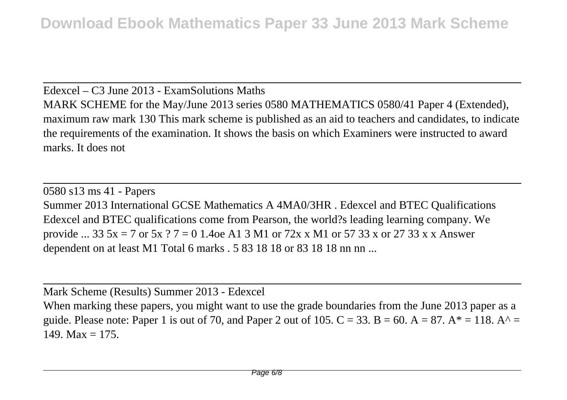Edexcel – C3 June 2013 - ExamSolutions Maths MARK SCHEME for the May/June 2013 series 0580 MATHEMATICS 0580/41 Paper 4 (Extended), maximum raw mark 130 This mark scheme is published as an aid to teachers and candidates, to indicate the requirements of the examination. It shows the basis on which Examiners were instructed to award marks. It does not

0580 s13 ms 41 - Papers Summer 2013 International GCSE Mathematics A 4MA0/3HR . Edexcel and BTEC Qualifications Edexcel and BTEC qualifications come from Pearson, the world?s leading learning company. We provide ... 33  $5x = 7$  or  $5x$  ?  $7 = 0$  1.4oe A1 3 M1 or  $72x$  x M1 or  $57$  33 x or 27 33 x x Answer dependent on at least M1 Total 6 marks . 5 83 18 18 or 83 18 18 nn nn ...

Mark Scheme (Results) Summer 2013 - Edexcel

When marking these papers, you might want to use the grade boundaries from the June 2013 paper as a guide. Please note: Paper 1 is out of 70, and Paper 2 out of 105.  $C = 33$ . B = 60. A = 87. A\* = 118. A^ = 149. Max  $= 175$ .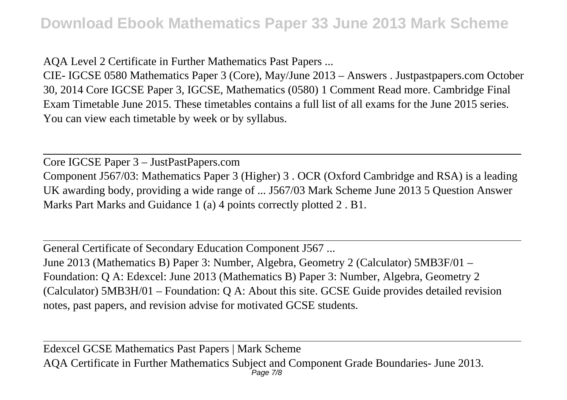AQA Level 2 Certificate in Further Mathematics Past Papers ...

CIE- IGCSE 0580 Mathematics Paper 3 (Core), May/June 2013 – Answers . Justpastpapers.com October 30, 2014 Core IGCSE Paper 3, IGCSE, Mathematics (0580) 1 Comment Read more. Cambridge Final Exam Timetable June 2015. These timetables contains a full list of all exams for the June 2015 series. You can view each timetable by week or by syllabus.

Core IGCSE Paper 3 – JustPastPapers.com Component J567/03: Mathematics Paper 3 (Higher) 3 . OCR (Oxford Cambridge and RSA) is a leading UK awarding body, providing a wide range of ... J567/03 Mark Scheme June 2013 5 Question Answer Marks Part Marks and Guidance 1 (a) 4 points correctly plotted 2 . B1.

General Certificate of Secondary Education Component J567 ... June 2013 (Mathematics B) Paper 3: Number, Algebra, Geometry 2 (Calculator) 5MB3F/01 – Foundation: Q A: Edexcel: June 2013 (Mathematics B) Paper 3: Number, Algebra, Geometry 2 (Calculator) 5MB3H/01 – Foundation: Q A: About this site. GCSE Guide provides detailed revision notes, past papers, and revision advise for motivated GCSE students.

Edexcel GCSE Mathematics Past Papers | Mark Scheme AQA Certificate in Further Mathematics Subject and Component Grade Boundaries- June 2013. Page 7/8